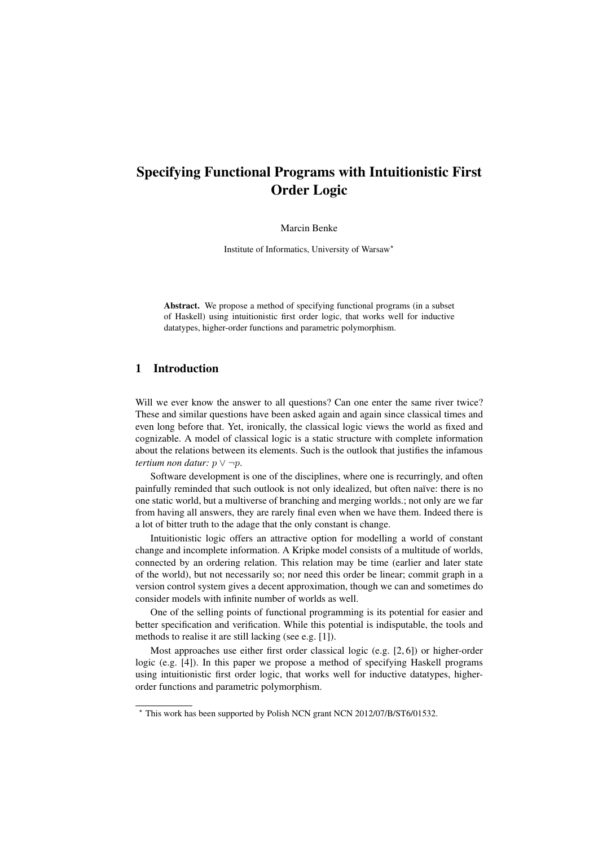# Specifying Functional Programs with Intuitionistic First Order Logic

Marcin Benke

Institute of Informatics, University of Warsaw<sup>\*</sup>

Abstract. We propose a method of specifying functional programs (in a subset of Haskell) using intuitionistic first order logic, that works well for inductive datatypes, higher-order functions and parametric polymorphism.

# 1 Introduction

Will we ever know the answer to all questions? Can one enter the same river twice? These and similar questions have been asked again and again since classical times and even long before that. Yet, ironically, the classical logic views the world as fixed and cognizable. A model of classical logic is a static structure with complete information about the relations between its elements. Such is the outlook that justifies the infamous *tertium non datur:* p ∨ ¬p.

Software development is one of the disciplines, where one is recurringly, and often painfully reminded that such outlook is not only idealized, but often naïve: there is no one static world, but a multiverse of branching and merging worlds.; not only are we far from having all answers, they are rarely final even when we have them. Indeed there is a lot of bitter truth to the adage that the only constant is change.

Intuitionistic logic offers an attractive option for modelling a world of constant change and incomplete information. A Kripke model consists of a multitude of worlds, connected by an ordering relation. This relation may be time (earlier and later state of the world), but not necessarily so; nor need this order be linear; commit graph in a version control system gives a decent approximation, though we can and sometimes do consider models with infinite number of worlds as well.

One of the selling points of functional programming is its potential for easier and better specification and verification. While this potential is indisputable, the tools and methods to realise it are still lacking (see e.g. [1]).

Most approaches use either first order classical logic (e.g. [2, 6]) or higher-order logic (e.g. [4]). In this paper we propose a method of specifying Haskell programs using intuitionistic first order logic, that works well for inductive datatypes, higherorder functions and parametric polymorphism.

<sup>⋆</sup> This work has been supported by Polish NCN grant NCN 2012/07/B/ST6/01532.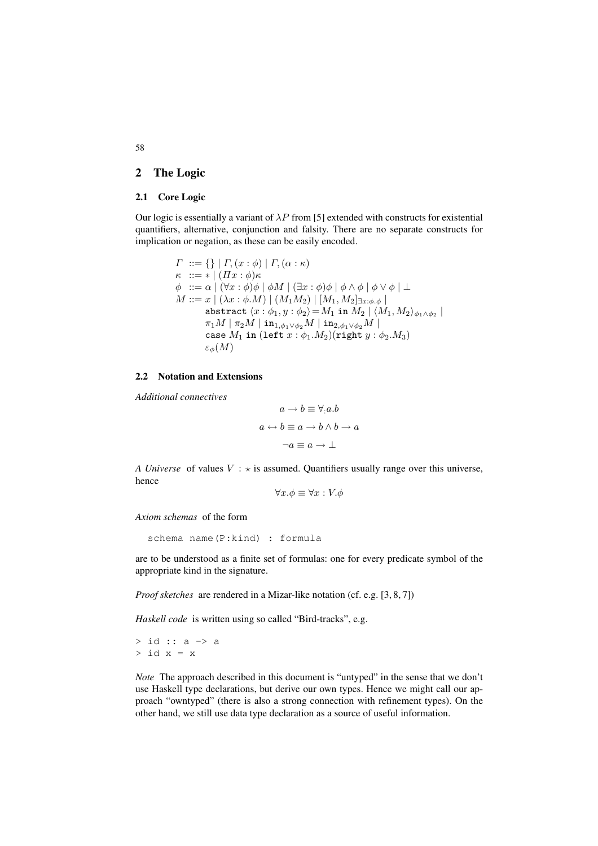## 2 The Logic

#### 2.1 Core Logic

Our logic is essentially a variant of  $\lambda P$  from [5] extended with constructs for existential quantifiers, alternative, conjunction and falsity. There are no separate constructs for implication or negation, as these can be easily encoded.

$$
\begin{array}{l} \varGamma\ ::=\{\}\ |\ \varGamma,(x:\phi)\ |\ \varGamma,(\alpha:\kappa)\\ \kappa\ ::=\ast\ |\ (Hx:\phi)\kappa\\ \phi\ ::=\alpha\ |\ (\forall x:\phi)\phi\ |\ \phi M\ |\ (\exists x:\phi)\phi\ |\ \phi\land\phi\ |\ \phi\lor\phi\ |\ \bot\\ M::=x\ |\ (\lambda x:\phi.M)\ |\ (M_1M_2)\ |\ [M_1,M_2]_{\exists x:\phi,\phi}\\ \text{abstract}\ \langle x:\phi_1,y:\phi_2\rangle=M_1\ \text{in}\ M_2\ |\ \langle M_1,M_2\rangle_{\phi_1\land\phi_2}\ |\ \pi_1M\ |\ \pi_2M\ |\ \text{in}_{1,\phi_1\lor\phi_2}M\ |\ \text{in}_{2,\phi_1\lor\phi_2}M\ |\ \mathrm{case}\ M_1\ \text{in}\ (\text{left}\ x:\phi_1.M_2)(\text{right}\ y:\phi_2.M_3)\\ \varepsilon_\phi(M)\end{array}
$$

## 2.2 Notation and Extensions

*Additional connectives*

$$
a \to b \equiv \forall \cdot a.b
$$

$$
a \leftrightarrow b \equiv a \to b \land b \to a
$$

$$
\neg a \equiv a \to \bot
$$

*A Universe* of values  $V : \star$  is assumed. Quantifiers usually range over this universe, hence

 $\forall x.\phi \equiv \forall x : V.\phi$ 

*Axiom schemas* of the form

```
schema name(P:kind) : formula
```
are to be understood as a finite set of formulas: one for every predicate symbol of the appropriate kind in the signature.

*Proof sketches* are rendered in a Mizar-like notation (cf. e.g. [3, 8, 7])

*Haskell code* is written using so called "Bird-tracks", e.g.

> id :: a -> a  $>$  id  $x = x$ 

*Note* The approach described in this document is "untyped" in the sense that we don't use Haskell type declarations, but derive our own types. Hence we might call our approach "owntyped" (there is also a strong connection with refinement types). On the other hand, we still use data type declaration as a source of useful information.

58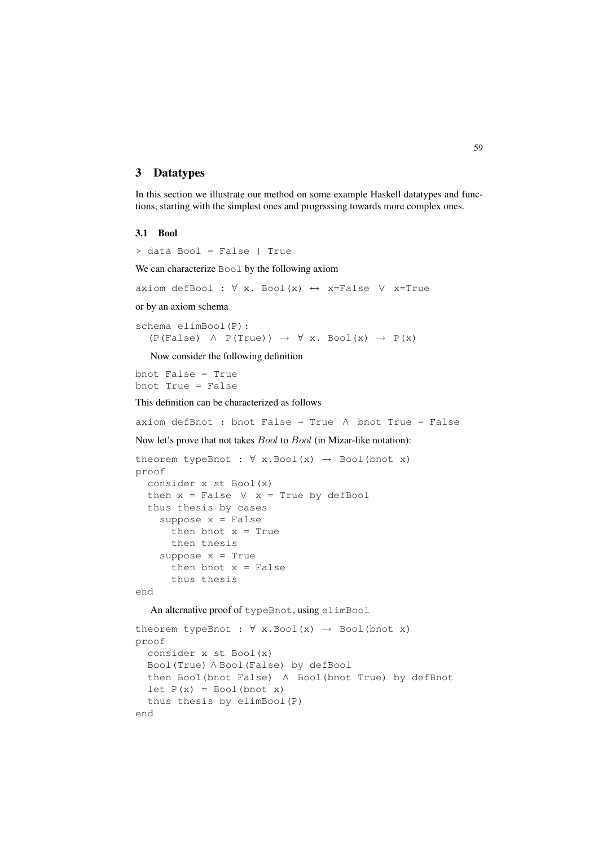## 3 Datatypes

In this section we illustrate our method on some example Haskell datatypes and functions, starting with the simplest ones and progrsssing towards more complex ones.

#### 3.1 Bool

```
> data Bool = False | True
We can characterize Bool by the following axiom
axiom defBool : \forall x. Bool(x) \leftrightarrow x=False \lor x=True
or by an axiom schema
schema elimBool(P):
   (P(False) \wedge P(True)) \rightarrow \forall x. Bool(x) \rightarrow P(x)Now consider the following definition
bnot False = True
bnot True = False
This definition can be characterized as follows
axiom defBnot : bnot False = True \land bnot True = False
Now let's prove that not takes Bool to Bool (in Mizar-like notation):
theorem typeBnot : \forall x.Bool(x) \rightarrow Bool(bnot x)
proof
  consider x st Bool(x)
  then x = False \lor x = True by defBoolthus thesis by cases
    suppose x = False
      then bnot x = True
      then thesis
     suppose x = Truethen bnot x = Falsethus thesis
end
   An alternative proof of typeBnot, using elimBool
theorem typeBnot : \forall x. Bool(x) \rightarrow Bool(bnot x)
proof
  consider x st Bool(x)
  Bool(True) ∧ Bool(False) by defBool
  then Bool(bnot False) ∧ Bool(bnot True) by defBnot
  let P(x) = Bool(bnot x)thus thesis by elimBool(P)
end
```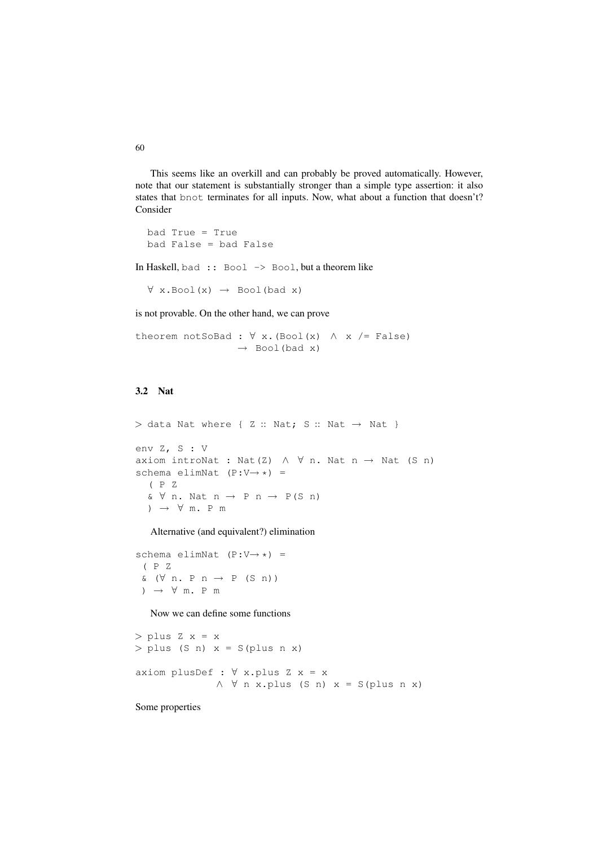This seems like an overkill and can probably be proved automatically. However, note that our statement is substantially stronger than a simple type assertion: it also states that bnot terminates for all inputs. Now, what about a function that doesn't? Consider

```
bad True = True
bad False = bad False
```
In Haskell, bad :: Bool -> Bool, but a theorem like

 $\forall$  x.Bool(x)  $\rightarrow$  Bool(bad x)

is not provable. On the other hand, we can prove

theorem notSoBad :  $\forall$  x. (Bool(x)  $\land$  x /= False)  $\rightarrow$  Bool(bad x)

# 3.2 Nat

 $>$  data Nat where { Z :: Nat; S :: Nat  $\rightarrow$  Nat } env Z, S : V axiom introNat : Nat(Z)  $\land$   $\forall$  n. Nat n  $\rightarrow$  Nat (S n) schema elimNat  $(P:V\rightarrow *)$  = ( P Z  $& \forall n. \text{ Nat } n \rightarrow P n \rightarrow P(S n)$ )  $\rightarrow$   $\forall$  m. P m

Alternative (and equivalent?) elimination

```
schema elimNat (P:V\rightarrow *) =
 ( P Z
 \& \ (\forall n. \ P \ n \rightarrow P \ (S \ n))) \rightarrow \forall m. P m
```
Now we can define some functions

```
> plus Z x = x
> plus (S n) x = S(plus n x)
axiom plusDef : \forall x.plus Z x = x
              ∧ ∀ n x.plus (S n) x = S(plus n x)
```
Some properties

60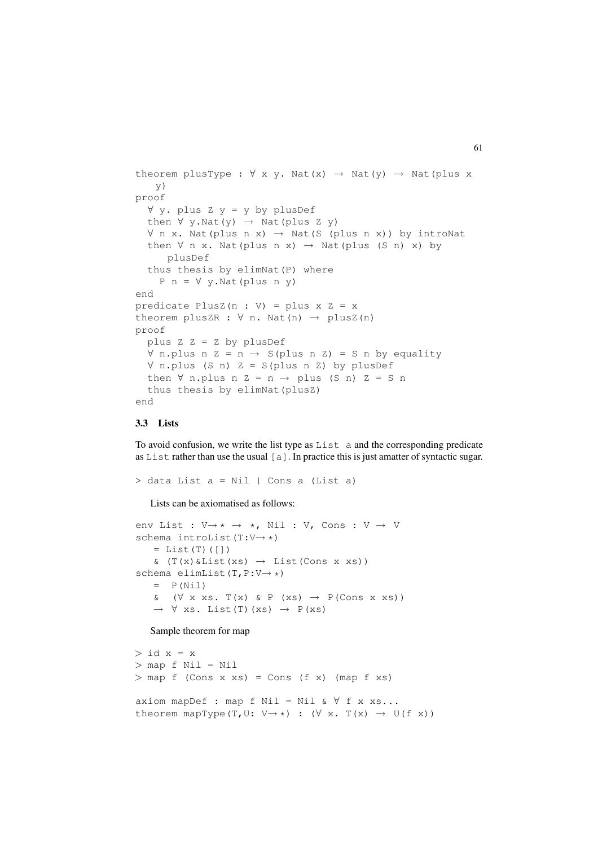```
theorem plusType : \forall x y. Nat(x) \rightarrow Nat(y) \rightarrow Nat(plus x
    y)
proof
  ∀ y. plus Z y = y by plusDef
  then \forall y. Nat(y) \rightarrow Nat(plus Z y)
  \forall n x. Nat(plus n x) \rightarrow Nat(S (plus n x)) by introNat
  then \forall n x. Nat(plus n x) \rightarrow Nat(plus (S n) x) by
      plusDef
  thus thesis by elimNat(P) where
    P n = \forall y.Mat(plus n y)end
predicate PlusZ(n : V) = plus x Z = xtheorem plusZR : \forall n. Nat(n) \rightarrow plusZ(n)
proof
  plus Z Z = Z by plusDef
  ∀ n.plus n Z = n → S(plus n Z) = S n by equality
  ∀ n.plus (S n) Z = S(plus n Z) by plusDef
  then \forall n.plus n Z = n \rightarrow plus (S n) Z = S n
  thus thesis by elimNat(plusZ)
end
```
### 3.3 Lists

To avoid confusion, we write the list type as List a and the corresponding predicate as List rather than use the usual  $[a]$ . In practice this is just amatter of syntactic sugar.

> data List a = Nil | Cons a (List a)

Lists can be axiomatised as follows:

```
env List : V\rightarrow * \rightarrow *, Nil : V, Cons : V \rightarrow V
schema introList(T:V→ *)
    = List(T)([])
    \& (T(x) \& List(xs) \rightarrow List(Cons x xs))
schema elimList(T, P:V→ *)
    = P(Nil)
    & (\forall x xs. T(x) & P (xs) \rightarrow P(Cons x xs))\rightarrow \forall xs. List(T)(xs) \rightarrow P(xs)
```
Sample theorem for map

 $>$  id  $x = x$ > map f Nil = Nil  $>$  map f (Cons x xs) = Cons (f x) (map f xs) axiom mapDef : map f Nil = Nil &  $\forall$  f x xs... theorem mapType(T,U: V $\rightarrow$  \*) : ( $\forall$  x. T(x)  $\rightarrow$  U(f x))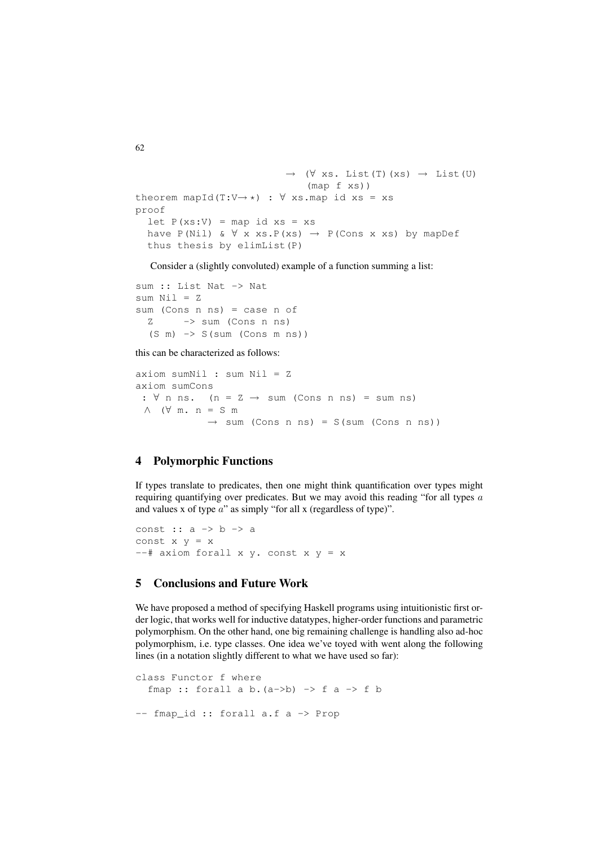```
\rightarrow (\forall xs. List(T)(xs) \rightarrow List(U)
                                     (map f xs))
theorem mapId(T:V\rightarrow *) : \forall xs.map id xs = xs
proof
  let P(xs:V) = map id xs = xshave P(Nil) & \forall x xs.P(xs) \rightarrow P(Cons x xs) by mapDef
  thus thesis by elimList(P)
```
Consider a (slightly convoluted) example of a function summing a list:

```
sum :: List Nat -> Nat
sum Nil = Zsum (Cons n ns) = case n of
  Z \rightarrow sum (Cons n ns)(S m) -> S(sum (Cons m ns))
```
this can be characterized as follows:

```
axiom sumNil : sum Nil = Z
axiom sumCons
 : \forall n ns. (n = Z \rightarrow sum (Cons n ns) = sum ns)
 ∧ (∀ m. n = S m
              \rightarrow sum (Cons n ns) = S(sum (Cons n ns))
```
## 4 Polymorphic Functions

If types translate to predicates, then one might think quantification over types might requiring quantifying over predicates. But we may avoid this reading "for all types a and values x of type a" as simply "for all x (regardless of type)".

```
const :: a -> b -> a
const x y = x- # axiom forall x y. const x y = x
```
# 5 Conclusions and Future Work

We have proposed a method of specifying Haskell programs using intuitionistic first order logic, that works well for inductive datatypes, higher-order functions and parametric polymorphism. On the other hand, one big remaining challenge is handling also ad-hoc polymorphism, i.e. type classes. One idea we've toyed with went along the following lines (in a notation slightly different to what we have used so far):

```
class Functor f where
  fmap :: forall a b. (a->b) \rightarrow f a \rightarrow f b-- fmap_id :: forall a.f a -> Prop
```
62